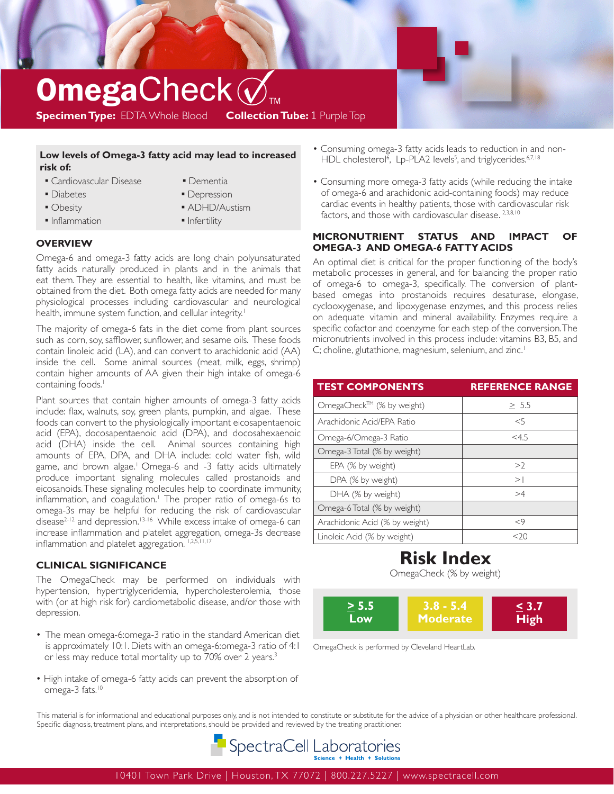# $\mathop{\bf \frac{Open}{{\bf \text{Specimen Type: }} {\bf \text{EDTA Whole Blood} \text{ } \text{ } \text{Collection Table: 1 } {\sf Purple Top}}}$ **Specimen Type:** EDTA Whole Blood

### **Low levels of Omega-3 fatty acid may lead to increased risk of:**

- **Cardiovascular Disease**
- 
- Diabetes
- Obesity
- **Inflammation**
- Dementia **• Depression**
- ADHD/Austism
- **·** Infertility

## **OVERVIEW**

Omega-6 and omega-3 fatty acids are long chain polyunsaturated fatty acids naturally produced in plants and in the animals that eat them. They are essential to health, like vitamins, and must be obtained from the diet. Both omega fatty acids are needed for many physiological processes including cardiovascular and neurological health, immune system function, and cellular integrity.<sup>1</sup>

The majority of omega-6 fats in the diet come from plant sources such as corn, soy, safflower, sunflower, and sesame oils. These foods contain linoleic acid (LA), and can convert to arachidonic acid (AA) inside the cell. Some animal sources (meat, milk, eggs, shrimp) contain higher amounts of AA given their high intake of omega-6 containing foods.<sup>1</sup>

Plant sources that contain higher amounts of omega-3 fatty acids include: flax, walnuts, soy, green plants, pumpkin, and algae. These foods can convert to the physiologically important eicosapentaenoic acid (EPA), docosapentaenoic acid (DPA), and docosahexaenoic acid (DHA) inside the cell. Animal sources containing high amounts of EPA, DPA, and DHA include: cold water fish, wild game, and brown algae.<sup>1</sup> Omega-6 and -3 fatty acids ultimately produce important signaling molecules called prostanoids and eicosanoids. These signaling molecules help to coordinate immunity, inflammation, and coagulation.<sup>1</sup> The proper ratio of omega-6s to omega-3s may be helpful for reducing the risk of cardiovascular disease<sup>2-12</sup> and depression.<sup>13-16</sup> While excess intake of omega-6 can increase inflammation and platelet aggregation, omega-3s decrease inflammation and platelet aggregation. 1,2,5,11,17

# **CLINICAL SIGNIFICANCE**

The OmegaCheck may be performed on individuals with hypertension, hypertriglyceridemia, hypercholesterolemia, those with (or at high risk for) cardiometabolic disease, and/or those with depression.

- The mean omega-6:omega-3 ratio in the standard American diet is approximately 10:1. Diets with an omega-6:omega-3 ratio of 4:1 or less may reduce total mortality up to 70% over 2 years.<sup>3</sup>
- High intake of omega-6 fatty acids can prevent the absorption of omega-3 fats.<sup>10</sup>
- Consuming omega-3 fatty acids leads to reduction in and non- HDL cholesterol<sup>6</sup>, Lp-PLA2 levels<sup>5</sup>, and triglycerides.<sup>6,7,18</sup>
- Consuming more omega-3 fatty acids (while reducing the intake of omega-6 and arachidonic acid-containing foods) may reduce cardiac events in healthy patients, those with cardiovascular risk factors, and those with cardiovascular disease. 2,3,8,10

### **MICRONUTRIENT STATUS AND IMPACT OF OMEGA-3 AND OMEGA-6 FATTY ACIDS**

An optimal diet is critical for the proper functioning of the body's metabolic processes in general, and for balancing the proper ratio of omega-6 to omega-3, specifically. The conversion of plantbased omegas into prostanoids requires desaturase, elongase, cyclooxygenase, and lipoxygenase enzymes, and this process relies on adequate vitamin and mineral availability. Enzymes require a specific cofactor and coenzyme for each step of the conversion. The micronutrients involved in this process include: vitamins B3, B5, and C; choline, glutathione, magnesium, selenium, and zinc.<sup>1</sup>

| <b>TEST COMPONENTS</b>         | <b>REFERENCE RANGE</b> |
|--------------------------------|------------------------|
| OmegaCheck™ (% by weight)      | > 5.5                  |
| Arachidonic Acid/FPA Ratio     | $<$ 5                  |
| Omega-6/Omega-3 Ratio          | $<$ 4.5                |
| Omega-3 Total (% by weight)    |                        |
| EPA (% by weight)              | >2                     |
| DPA (% by weight)              | >1                     |
| DHA (% by weight)              | >4                     |
| Omega-6 Total (% by weight)    |                        |
| Arachidonic Acid (% by weight) | $<$ 9                  |
| Linoleic Acid (% by weight)    | <ว∩                    |

# **Risk Index**

OmegaCheck (% by weight)



OmegaCheck is performed by Cleveland HeartLab.

This material is for informational and educational purposes only, and is not intended to constitute or substitute for the advice of a physician or other healthcare professional. Specific diagnosis, treatment plans, and interpretations, should be provided and reviewed by the treating practitioner.